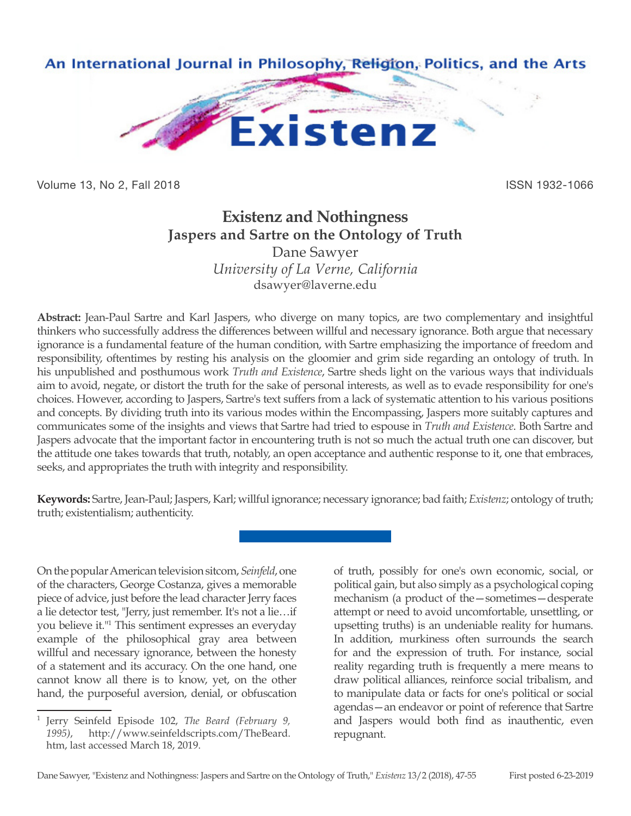

Volume 13, No 2, Fall 2018 ISSN 1932-1066

## **Existenz and Nothingness Jaspers and Sartre on the Ontology of Truth**

Dane Sawyer *University of La Verne, California* dsawyer@laverne.edu

**Abstract:** Jean-Paul Sartre and Karl Jaspers, who diverge on many topics, are two complementary and insightful thinkers who successfully address the differences between willful and necessary ignorance. Both argue that necessary ignorance is a fundamental feature of the human condition, with Sartre emphasizing the importance of freedom and responsibility, oftentimes by resting his analysis on the gloomier and grim side regarding an ontology of truth. In his unpublished and posthumous work *Truth and Existence*, Sartre sheds light on the various ways that individuals aim to avoid, negate, or distort the truth for the sake of personal interests, as well as to evade responsibility for one's choices. However, according to Jaspers, Sartre's text suffers from a lack of systematic attention to his various positions and concepts. By dividing truth into its various modes within the Encompassing, Jaspers more suitably captures and communicates some of the insights and views that Sartre had tried to espouse in *Truth and Existence*. Both Sartre and Jaspers advocate that the important factor in encountering truth is not so much the actual truth one can discover, but the attitude one takes towards that truth, notably, an open acceptance and authentic response to it, one that embraces, seeks, and appropriates the truth with integrity and responsibility.

**Keywords:** Sartre, Jean-Paul; Jaspers, Karl; willful ignorance; necessary ignorance; bad faith; *Existenz*; ontology of truth; truth; existentialism; authenticity.

On the popular American television sitcom, *Seinfeld*, one of the characters, George Costanza, gives a memorable piece of advice, just before the lead character Jerry faces a lie detector test, "Jerry, just remember. It's not a lie…if you believe it."1 This sentiment expresses an everyday example of the philosophical gray area between willful and necessary ignorance, between the honesty of a statement and its accuracy. On the one hand, one cannot know all there is to know, yet, on the other hand, the purposeful aversion, denial, or obfuscation

of truth, possibly for one's own economic, social, or political gain, but also simply as a psychological coping mechanism (a product of the—sometimes—desperate attempt or need to avoid uncomfortable, unsettling, or upsetting truths) is an undeniable reality for humans. In addition, murkiness often surrounds the search for and the expression of truth. For instance, social reality regarding truth is frequently a mere means to draw political alliances, reinforce social tribalism, and to manipulate data or facts for one's political or social agendas—an endeavor or point of reference that Sartre and Jaspers would both find as inauthentic, even repugnant.

<sup>1</sup> Jerry Seinfeld Episode 102, *The Beard (February 9, 1995)*, http://www.seinfeldscripts.com/TheBeard. htm, last accessed March 18, 2019.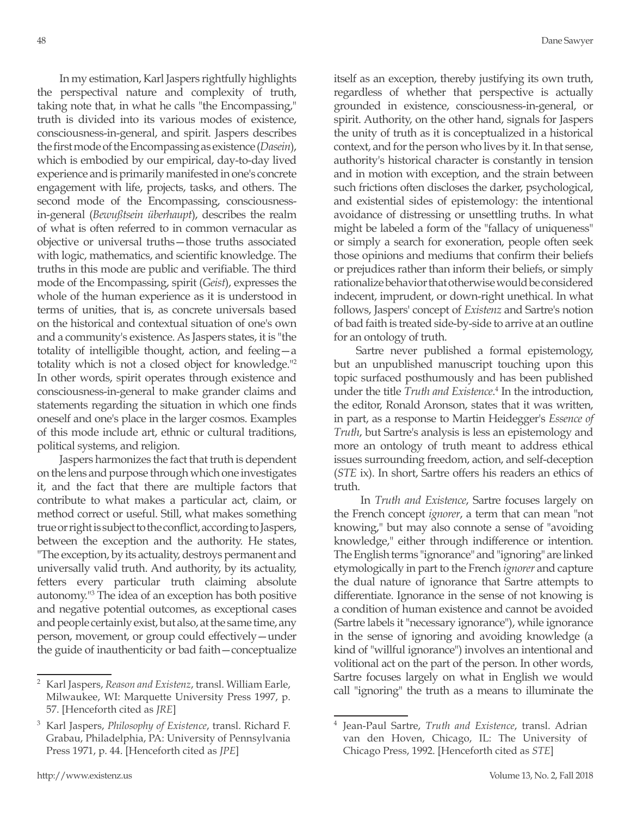In my estimation, Karl Jaspers rightfully highlights the perspectival nature and complexity of truth, taking note that, in what he calls "the Encompassing," truth is divided into its various modes of existence, consciousness-in-general, and spirit. Jaspers describes the first mode of the Encompassing as existence (*Dasein*), which is embodied by our empirical, day-to-day lived experience and is primarily manifested in one's concrete engagement with life, projects, tasks, and others. The second mode of the Encompassing, consciousnessin-general (*Bewußtsein überhaupt*), describes the realm of what is often referred to in common vernacular as objective or universal truths—those truths associated with logic, mathematics, and scientific knowledge. The truths in this mode are public and verifiable. The third mode of the Encompassing, spirit (*Geist*), expresses the whole of the human experience as it is understood in terms of unities, that is, as concrete universals based on the historical and contextual situation of one's own and a community's existence. As Jaspers states, it is "the totality of intelligible thought, action, and feeling—a totality which is not a closed object for knowledge."2 In other words, spirit operates through existence and consciousness-in-general to make grander claims and statements regarding the situation in which one finds oneself and one's place in the larger cosmos. Examples of this mode include art, ethnic or cultural traditions, political systems, and religion.

Jaspers harmonizes the fact that truth is dependent on the lens and purpose through which one investigates it, and the fact that there are multiple factors that contribute to what makes a particular act, claim, or method correct or useful. Still, what makes something true or right is subject to the conflict, according to Jaspers, between the exception and the authority. He states, "The exception, by its actuality, destroys permanent and universally valid truth. And authority, by its actuality, fetters every particular truth claiming absolute autonomy."3 The idea of an exception has both positive and negative potential outcomes, as exceptional cases and people certainly exist, but also, at the same time, any person, movement, or group could effectively—under the guide of inauthenticity or bad faith—conceptualize

itself as an exception, thereby justifying its own truth, regardless of whether that perspective is actually grounded in existence, consciousness-in-general, or spirit. Authority, on the other hand, signals for Jaspers the unity of truth as it is conceptualized in a historical context, and for the person who lives by it. In that sense, authority's historical character is constantly in tension and in motion with exception, and the strain between such frictions often discloses the darker, psychological, and existential sides of epistemology: the intentional avoidance of distressing or unsettling truths. In what might be labeled a form of the "fallacy of uniqueness" or simply a search for exoneration, people often seek those opinions and mediums that confirm their beliefs or prejudices rather than inform their beliefs, or simply rationalize behavior that otherwise would be considered indecent, imprudent, or down-right unethical. In what follows, Jaspers' concept of *Existenz* and Sartre's notion of bad faith is treated side-by-side to arrive at an outline for an ontology of truth.

Sartre never published a formal epistemology, but an unpublished manuscript touching upon this topic surfaced posthumously and has been published under the title *Truth and Existence*. 4 In the introduction, the editor, Ronald Aronson, states that it was written, in part, as a response to Martin Heidegger's *Essence of Truth*, but Sartre's analysis is less an epistemology and more an ontology of truth meant to address ethical issues surrounding freedom, action, and self-deception (*STE* ix). In short, Sartre offers his readers an ethics of truth.

 In *Truth and Existence*, Sartre focuses largely on the French concept *ignorer*, a term that can mean "not knowing," but may also connote a sense of "avoiding knowledge," either through indifference or intention. The English terms "ignorance" and "ignoring" are linked etymologically in part to the French *ignorer* and capture the dual nature of ignorance that Sartre attempts to differentiate. Ignorance in the sense of not knowing is a condition of human existence and cannot be avoided (Sartre labels it "necessary ignorance"), while ignorance in the sense of ignoring and avoiding knowledge (a kind of "willful ignorance") involves an intentional and volitional act on the part of the person. In other words, Sartre focuses largely on what in English we would call "ignoring" the truth as a means to illuminate the

<sup>2</sup> Karl Jaspers, *Reason and Existenz*, transl. William Earle, Milwaukee, WI: Marquette University Press 1997, p. 57. [Henceforth cited as *JRE*]

<sup>3</sup> Karl Jaspers, *Philosophy of Existence*, transl. Richard F. Grabau, Philadelphia, PA: University of Pennsylvania Press 1971, p. 44. [Henceforth cited as *JPE*]

<sup>4</sup> Jean-Paul Sartre, *Truth and Existence*, transl. Adrian van den Hoven, Chicago, IL: The University of Chicago Press, 1992. [Henceforth cited as *STE*]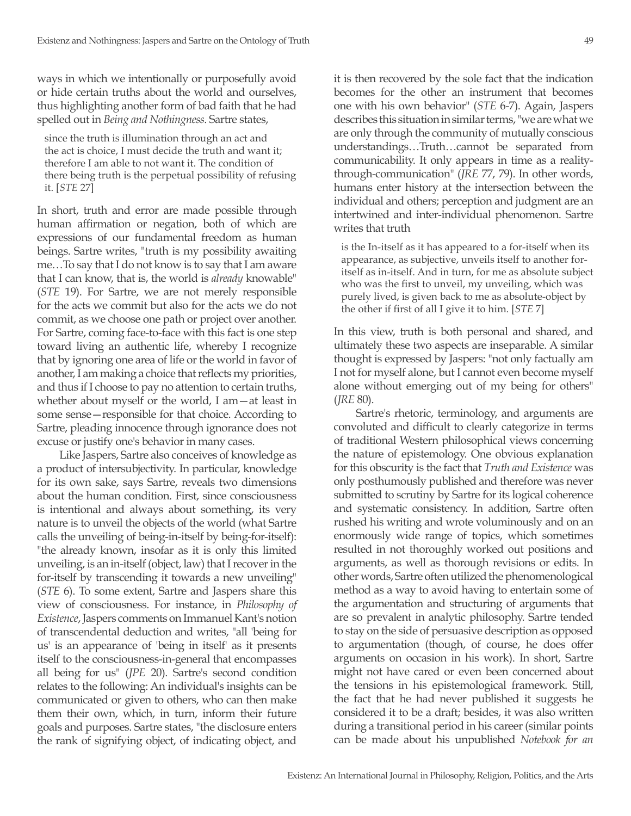ways in which we intentionally or purposefully avoid or hide certain truths about the world and ourselves, thus highlighting another form of bad faith that he had spelled out in *Being and Nothingness*. Sartre states,

since the truth is illumination through an act and the act is choice, I must decide the truth and want it; therefore I am able to not want it. The condition of there being truth is the perpetual possibility of refusing it. [*STE* 27]

In short, truth and error are made possible through human affirmation or negation, both of which are expressions of our fundamental freedom as human beings. Sartre writes, "truth is my possibility awaiting me…To say that I do not know is to say that I am aware that I can know, that is, the world is *already* knowable" (*STE* 19). For Sartre, we are not merely responsible for the acts we commit but also for the acts we do not commit, as we choose one path or project over another. For Sartre, coming face-to-face with this fact is one step toward living an authentic life, whereby I recognize that by ignoring one area of life or the world in favor of another, I am making a choice that reflects my priorities, and thus if I choose to pay no attention to certain truths, whether about myself or the world, I am—at least in some sense—responsible for that choice. According to Sartre, pleading innocence through ignorance does not excuse or justify one's behavior in many cases.

Like Jaspers, Sartre also conceives of knowledge as a product of intersubjectivity. In particular, knowledge for its own sake, says Sartre, reveals two dimensions about the human condition. First, since consciousness is intentional and always about something, its very nature is to unveil the objects of the world (what Sartre calls the unveiling of being-in-itself by being-for-itself): "the already known, insofar as it is only this limited unveiling, is an in-itself (object, law) that I recover in the for-itself by transcending it towards a new unveiling" (*STE* 6). To some extent, Sartre and Jaspers share this view of consciousness. For instance, in *Philosophy of Existence*, Jaspers comments on Immanuel Kant's notion of transcendental deduction and writes, "all 'being for us' is an appearance of 'being in itself' as it presents itself to the consciousness-in-general that encompasses all being for us" (*JPE* 20). Sartre's second condition relates to the following: An individual's insights can be communicated or given to others, who can then make them their own, which, in turn, inform their future goals and purposes. Sartre states, "the disclosure enters the rank of signifying object, of indicating object, and

it is then recovered by the sole fact that the indication becomes for the other an instrument that becomes one with his own behavior" (*STE* 6-7). Again, Jaspers describes this situation in similar terms, "we are what we are only through the community of mutually conscious understandings…Truth…cannot be separated from communicability. It only appears in time as a realitythrough-communication" (*JRE* 77, 79). In other words, humans enter history at the intersection between the individual and others; perception and judgment are an intertwined and inter-individual phenomenon. Sartre writes that truth

is the In-itself as it has appeared to a for-itself when its appearance, as subjective, unveils itself to another foritself as in-itself. And in turn, for me as absolute subject who was the first to unveil, my unveiling, which was purely lived, is given back to me as absolute-object by the other if first of all I give it to him. [*STE* 7]

In this view, truth is both personal and shared, and ultimately these two aspects are inseparable. A similar thought is expressed by Jaspers: "not only factually am I not for myself alone, but I cannot even become myself alone without emerging out of my being for others" (*JRE* 80).

Sartre's rhetoric, terminology, and arguments are convoluted and difficult to clearly categorize in terms of traditional Western philosophical views concerning the nature of epistemology. One obvious explanation for this obscurity is the fact that *Truth and Existence* was only posthumously published and therefore was never submitted to scrutiny by Sartre for its logical coherence and systematic consistency. In addition, Sartre often rushed his writing and wrote voluminously and on an enormously wide range of topics, which sometimes resulted in not thoroughly worked out positions and arguments, as well as thorough revisions or edits. In other words, Sartre often utilized the phenomenological method as a way to avoid having to entertain some of the argumentation and structuring of arguments that are so prevalent in analytic philosophy. Sartre tended to stay on the side of persuasive description as opposed to argumentation (though, of course, he does offer arguments on occasion in his work). In short, Sartre might not have cared or even been concerned about the tensions in his epistemological framework. Still, the fact that he had never published it suggests he considered it to be a draft; besides, it was also written during a transitional period in his career (similar points can be made about his unpublished *Notebook for an*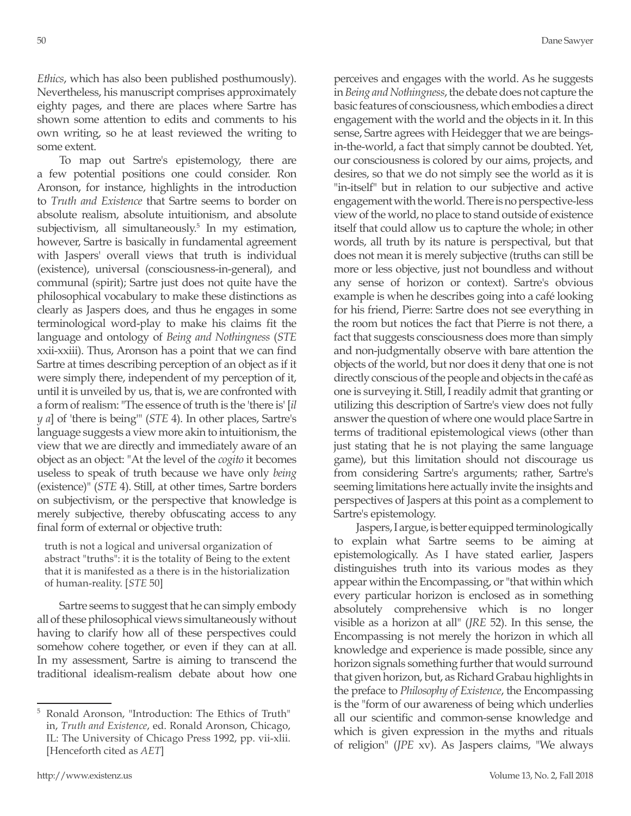*Ethics*, which has also been published posthumously). Nevertheless, his manuscript comprises approximately eighty pages, and there are places where Sartre has shown some attention to edits and comments to his own writing, so he at least reviewed the writing to some extent.

To map out Sartre's epistemology, there are a few potential positions one could consider. Ron Aronson, for instance, highlights in the introduction to *Truth and Existence* that Sartre seems to border on absolute realism, absolute intuitionism, and absolute subjectivism, all simultaneously.<sup>5</sup> In my estimation, however, Sartre is basically in fundamental agreement with Jaspers' overall views that truth is individual (existence), universal (consciousness-in-general), and communal (spirit); Sartre just does not quite have the philosophical vocabulary to make these distinctions as clearly as Jaspers does, and thus he engages in some terminological word-play to make his claims fit the language and ontology of *Being and Nothingness* (*STE* xxii-xxiii). Thus, Aronson has a point that we can find Sartre at times describing perception of an object as if it were simply there, independent of my perception of it, until it is unveiled by us, that is, we are confronted with a form of realism: "The essence of truth is the 'there is' [*il y a*] of 'there is being'" (*STE* 4). In other places, Sartre's language suggests a view more akin to intuitionism, the view that we are directly and immediately aware of an object as an object: "At the level of the *cogito* it becomes useless to speak of truth because we have only *being* (existence)" (*STE* 4). Still, at other times, Sartre borders on subjectivism, or the perspective that knowledge is merely subjective, thereby obfuscating access to any final form of external or objective truth:

truth is not a logical and universal organization of abstract "truths": it is the totality of Being to the extent that it is manifested as a there is in the historialization of human-reality. [*STE* 50]

Sartre seems to suggest that he can simply embody all of these philosophical views simultaneously without having to clarify how all of these perspectives could somehow cohere together, or even if they can at all. In my assessment, Sartre is aiming to transcend the traditional idealism-realism debate about how one perceives and engages with the world. As he suggests in *Being and Nothingness*, the debate does not capture the basic features of consciousness, which embodies a direct engagement with the world and the objects in it. In this sense, Sartre agrees with Heidegger that we are beingsin-the-world, a fact that simply cannot be doubted. Yet, our consciousness is colored by our aims, projects, and desires, so that we do not simply see the world as it is "in-itself" but in relation to our subjective and active engagement with the world. There is no perspective-less view of the world, no place to stand outside of existence itself that could allow us to capture the whole; in other words, all truth by its nature is perspectival, but that does not mean it is merely subjective (truths can still be more or less objective, just not boundless and without any sense of horizon or context). Sartre's obvious example is when he describes going into a café looking for his friend, Pierre: Sartre does not see everything in the room but notices the fact that Pierre is not there, a fact that suggests consciousness does more than simply and non-judgmentally observe with bare attention the objects of the world, but nor does it deny that one is not directly conscious of the people and objects in the café as one is surveying it. Still, I readily admit that granting or utilizing this description of Sartre's view does not fully answer the question of where one would place Sartre in terms of traditional epistemological views (other than just stating that he is not playing the same language game), but this limitation should not discourage us from considering Sartre's arguments; rather, Sartre's seeming limitations here actually invite the insights and perspectives of Jaspers at this point as a complement to Sartre's epistemology.

Jaspers, I argue, is better equipped terminologically to explain what Sartre seems to be aiming at epistemologically. As I have stated earlier, Jaspers distinguishes truth into its various modes as they appear within the Encompassing, or "that within which every particular horizon is enclosed as in something absolutely comprehensive which is no longer visible as a horizon at all" (*JRE* 52). In this sense, the Encompassing is not merely the horizon in which all knowledge and experience is made possible, since any horizon signals something further that would surround that given horizon, but, as Richard Grabau highlights in the preface to *Philosophy of Existence*, the Encompassing is the "form of our awareness of being which underlies all our scientific and common-sense knowledge and which is given expression in the myths and rituals of religion" (*JPE* xv). As Jaspers claims, "We always

<sup>5</sup> Ronald Aronson, "Introduction: The Ethics of Truth" in, *Truth and Existence*, ed. Ronald Aronson, Chicago, IL: The University of Chicago Press 1992, pp. vii-xlii. [Henceforth cited as *AET*]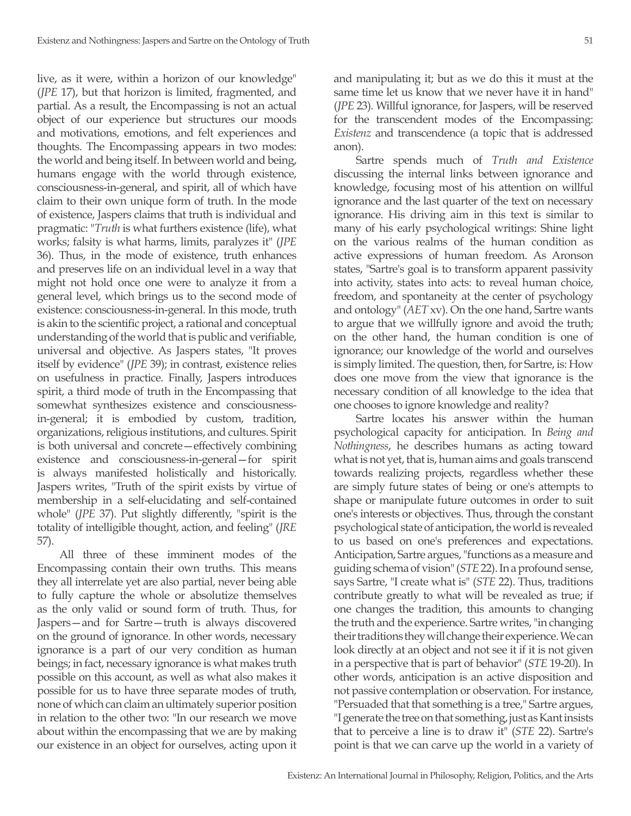live, as it were, within a horizon of our knowledge" (*JPE* 17), but that horizon is limited, fragmented, and partial. As a result, the Encompassing is not an actual object of our experience but structures our moods and motivations, emotions, and felt experiences and thoughts. The Encompassing appears in two modes: the world and being itself. In between world and being, humans engage with the world through existence, consciousness-in-general, and spirit, all of which have claim to their own unique form of truth. In the mode of existence, Jaspers claims that truth is individual and pragmatic: "*Truth* is what furthers existence (life), what works; falsity is what harms, limits, paralyzes it" (*JPE* 36). Thus, in the mode of existence, truth enhances and preserves life on an individual level in a way that might not hold once one were to analyze it from a general level, which brings us to the second mode of existence: consciousness-in-general. In this mode, truth is akin to the scientific project, a rational and conceptual understanding of the world that is public and verifiable, universal and objective. As Jaspers states, "It proves itself by evidence" (*JPE* 39); in contrast, existence relies on usefulness in practice. Finally, Jaspers introduces spirit, a third mode of truth in the Encompassing that somewhat synthesizes existence and consciousnessin-general; it is embodied by custom, tradition, organizations, religious institutions, and cultures. Spirit is both universal and concrete—effectively combining existence and consciousness-in-general—for spirit is always manifested holistically and historically. Jaspers writes, "Truth of the spirit exists by virtue of membership in a self-elucidating and self-contained whole" (*JPE* 37). Put slightly differently, "spirit is the totality of intelligible thought, action, and feeling" (*JRE*  57).

All three of these imminent modes of the Encompassing contain their own truths. This means they all interrelate yet are also partial, never being able to fully capture the whole or absolutize themselves as the only valid or sound form of truth. Thus, for Jaspers—and for Sartre—truth is always discovered on the ground of ignorance. In other words, necessary ignorance is a part of our very condition as human beings; in fact, necessary ignorance is what makes truth possible on this account, as well as what also makes it possible for us to have three separate modes of truth, none of which can claim an ultimately superior position in relation to the other two: "In our research we move about within the encompassing that we are by making our existence in an object for ourselves, acting upon it

and manipulating it; but as we do this it must at the same time let us know that we never have it in hand" (*JPE* 23). Willful ignorance, for Jaspers, will be reserved for the transcendent modes of the Encompassing: *Existenz* and transcendence (a topic that is addressed anon).

Sartre spends much of *Truth and Existence*  discussing the internal links between ignorance and knowledge, focusing most of his attention on willful ignorance and the last quarter of the text on necessary ignorance. His driving aim in this text is similar to many of his early psychological writings: Shine light on the various realms of the human condition as active expressions of human freedom. As Aronson states, "Sartre's goal is to transform apparent passivity into activity, states into acts: to reveal human choice, freedom, and spontaneity at the center of psychology and ontology" (*AET* xv). On the one hand, Sartre wants to argue that we willfully ignore and avoid the truth; on the other hand, the human condition is one of ignorance; our knowledge of the world and ourselves is simply limited. The question, then, for Sartre, is: How does one move from the view that ignorance is the necessary condition of all knowledge to the idea that one chooses to ignore knowledge and reality?

Sartre locates his answer within the human psychological capacity for anticipation. In *Being and Nothingness*, he describes humans as acting toward what is not yet, that is, human aims and goals transcend towards realizing projects, regardless whether these are simply future states of being or one's attempts to shape or manipulate future outcomes in order to suit one's interests or objectives. Thus, through the constant psychological state of anticipation, the world is revealed to us based on one's preferences and expectations. Anticipation, Sartre argues, "functions as a measure and guiding schema of vision" (*STE* 22). In a profound sense, says Sartre, "I create what is" (*STE* 22). Thus, traditions contribute greatly to what will be revealed as true; if one changes the tradition, this amounts to changing the truth and the experience. Sartre writes, "in changing their traditions they will change their experience. We can look directly at an object and not see it if it is not given in a perspective that is part of behavior" (*STE* 19-20). In other words, anticipation is an active disposition and not passive contemplation or observation. For instance, "Persuaded that that something is a tree," Sartre argues, "I generate the tree on that something, just as Kant insists that to perceive a line is to draw it" (*STE* 22). Sartre's point is that we can carve up the world in a variety of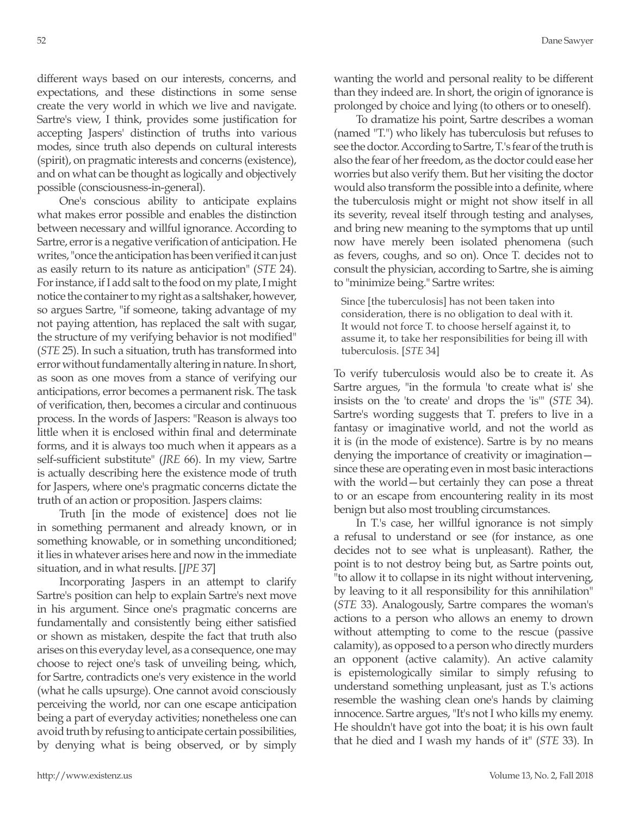different ways based on our interests, concerns, and expectations, and these distinctions in some sense create the very world in which we live and navigate. Sartre's view, I think, provides some justification for accepting Jaspers' distinction of truths into various modes, since truth also depends on cultural interests (spirit), on pragmatic interests and concerns (existence), and on what can be thought as logically and objectively possible (consciousness-in-general).

One's conscious ability to anticipate explains what makes error possible and enables the distinction between necessary and willful ignorance. According to Sartre, error is a negative verification of anticipation. He writes, "once the anticipation has been verified it can just as easily return to its nature as anticipation" (*STE* 24). For instance, if I add salt to the food on my plate, I might notice the container to my right as a saltshaker, however, so argues Sartre, "if someone, taking advantage of my not paying attention, has replaced the salt with sugar, the structure of my verifying behavior is not modified" (*STE* 25). In such a situation, truth has transformed into error without fundamentally altering in nature. In short, as soon as one moves from a stance of verifying our anticipations, error becomes a permanent risk. The task of verification, then, becomes a circular and continuous process. In the words of Jaspers: "Reason is always too little when it is enclosed within final and determinate forms, and it is always too much when it appears as a self-sufficient substitute" (*JRE* 66). In my view, Sartre is actually describing here the existence mode of truth for Jaspers, where one's pragmatic concerns dictate the truth of an action or proposition. Jaspers claims:

Truth [in the mode of existence] does not lie in something permanent and already known, or in something knowable, or in something unconditioned; it lies in whatever arises here and now in the immediate situation, and in what results. [*JPE* 37]

Incorporating Jaspers in an attempt to clarify Sartre's position can help to explain Sartre's next move in his argument. Since one's pragmatic concerns are fundamentally and consistently being either satisfied or shown as mistaken, despite the fact that truth also arises on this everyday level, as a consequence, one may choose to reject one's task of unveiling being, which, for Sartre, contradicts one's very existence in the world (what he calls upsurge). One cannot avoid consciously perceiving the world, nor can one escape anticipation being a part of everyday activities; nonetheless one can avoid truth by refusing to anticipate certain possibilities, by denying what is being observed, or by simply wanting the world and personal reality to be different than they indeed are. In short, the origin of ignorance is prolonged by choice and lying (to others or to oneself).

To dramatize his point, Sartre describes a woman (named "T.") who likely has tuberculosis but refuses to see the doctor. According to Sartre, T.'s fear of the truth is also the fear of her freedom, as the doctor could ease her worries but also verify them. But her visiting the doctor would also transform the possible into a definite, where the tuberculosis might or might not show itself in all its severity, reveal itself through testing and analyses, and bring new meaning to the symptoms that up until now have merely been isolated phenomena (such as fevers, coughs, and so on). Once T. decides not to consult the physician, according to Sartre, she is aiming to "minimize being." Sartre writes:

Since [the tuberculosis] has not been taken into consideration, there is no obligation to deal with it. It would not force T. to choose herself against it, to assume it, to take her responsibilities for being ill with tuberculosis. [*STE* 34]

To verify tuberculosis would also be to create it. As Sartre argues, "in the formula 'to create what is' she insists on the 'to create' and drops the 'is'" (*STE* 34). Sartre's wording suggests that T. prefers to live in a fantasy or imaginative world, and not the world as it is (in the mode of existence). Sartre is by no means denying the importance of creativity or imagination since these are operating even in most basic interactions with the world—but certainly they can pose a threat to or an escape from encountering reality in its most benign but also most troubling circumstances.

In T.'s case, her willful ignorance is not simply a refusal to understand or see (for instance, as one decides not to see what is unpleasant). Rather, the point is to not destroy being but, as Sartre points out, "to allow it to collapse in its night without intervening, by leaving to it all responsibility for this annihilation" (*STE* 33). Analogously, Sartre compares the woman's actions to a person who allows an enemy to drown without attempting to come to the rescue (passive calamity), as opposed to a person who directly murders an opponent (active calamity). An active calamity is epistemologically similar to simply refusing to understand something unpleasant, just as T.'s actions resemble the washing clean one's hands by claiming innocence. Sartre argues, "It's not I who kills my enemy. He shouldn't have got into the boat; it is his own fault that he died and I wash my hands of it" (*STE* 33). In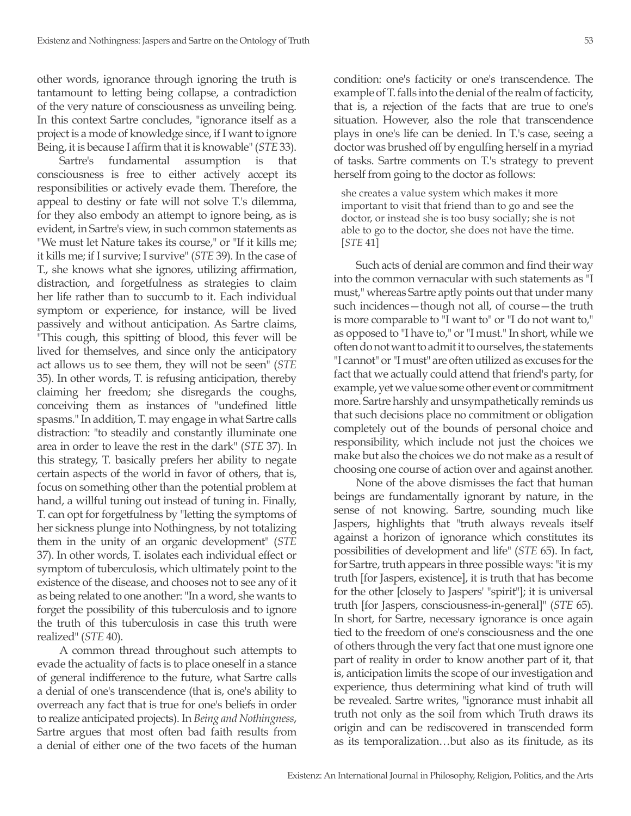other words, ignorance through ignoring the truth is tantamount to letting being collapse, a contradiction of the very nature of consciousness as unveiling being. In this context Sartre concludes, "ignorance itself as a project is a mode of knowledge since, if I want to ignore Being, it is because I affirm that it is knowable" (*STE* 33).

Sartre's fundamental assumption is that consciousness is free to either actively accept its responsibilities or actively evade them. Therefore, the appeal to destiny or fate will not solve T.'s dilemma, for they also embody an attempt to ignore being, as is evident, in Sartre's view, in such common statements as "We must let Nature takes its course," or "If it kills me; it kills me; if I survive; I survive" (*STE* 39). In the case of T., she knows what she ignores, utilizing affirmation, distraction, and forgetfulness as strategies to claim her life rather than to succumb to it. Each individual symptom or experience, for instance, will be lived passively and without anticipation. As Sartre claims, "This cough, this spitting of blood, this fever will be lived for themselves, and since only the anticipatory act allows us to see them, they will not be seen" (*STE* 35). In other words, T. is refusing anticipation, thereby claiming her freedom; she disregards the coughs, conceiving them as instances of "undefined little spasms." In addition, T. may engage in what Sartre calls distraction: "to steadily and constantly illuminate one area in order to leave the rest in the dark" (*STE* 37). In this strategy, T. basically prefers her ability to negate certain aspects of the world in favor of others, that is, focus on something other than the potential problem at hand, a willful tuning out instead of tuning in. Finally, T. can opt for forgetfulness by "letting the symptoms of her sickness plunge into Nothingness, by not totalizing them in the unity of an organic development" (*STE* 37). In other words, T. isolates each individual effect or symptom of tuberculosis, which ultimately point to the existence of the disease, and chooses not to see any of it as being related to one another: "In a word, she wants to forget the possibility of this tuberculosis and to ignore the truth of this tuberculosis in case this truth were realized" (*STE* 40).

A common thread throughout such attempts to evade the actuality of facts is to place oneself in a stance of general indifference to the future, what Sartre calls a denial of one's transcendence (that is, one's ability to overreach any fact that is true for one's beliefs in order to realize anticipated projects). In *Being and Nothingness*, Sartre argues that most often bad faith results from a denial of either one of the two facets of the human condition: one's facticity or one's transcendence. The example of T. falls into the denial of the realm of facticity, that is, a rejection of the facts that are true to one's situation. However, also the role that transcendence plays in one's life can be denied. In T.'s case, seeing a doctor was brushed off by engulfing herself in a myriad of tasks. Sartre comments on T.'s strategy to prevent herself from going to the doctor as follows:

she creates a value system which makes it more important to visit that friend than to go and see the doctor, or instead she is too busy socially; she is not able to go to the doctor, she does not have the time. [*STE* 41]

Such acts of denial are common and find their way into the common vernacular with such statements as "I must," whereas Sartre aptly points out that under many such incidences—though not all, of course—the truth is more comparable to "I want to" or "I do not want to," as opposed to "I have to," or "I must." In short, while we often do not want to admit it to ourselves, the statements "I cannot" or "I must" are often utilized as excuses for the fact that we actually could attend that friend's party, for example, yet we value some other event or commitment more. Sartre harshly and unsympathetically reminds us that such decisions place no commitment or obligation completely out of the bounds of personal choice and responsibility, which include not just the choices we make but also the choices we do not make as a result of choosing one course of action over and against another.

None of the above dismisses the fact that human beings are fundamentally ignorant by nature, in the sense of not knowing. Sartre, sounding much like Jaspers, highlights that "truth always reveals itself against a horizon of ignorance which constitutes its possibilities of development and life" (*STE* 65). In fact, for Sartre, truth appears in three possible ways: "it is my truth [for Jaspers, existence], it is truth that has become for the other [closely to Jaspers' "spirit"]; it is universal truth [for Jaspers, consciousness-in-general]" (*STE* 65). In short, for Sartre, necessary ignorance is once again tied to the freedom of one's consciousness and the one of others through the very fact that one must ignore one part of reality in order to know another part of it, that is, anticipation limits the scope of our investigation and experience, thus determining what kind of truth will be revealed. Sartre writes, "ignorance must inhabit all truth not only as the soil from which Truth draws its origin and can be rediscovered in transcended form as its temporalization…but also as its finitude, as its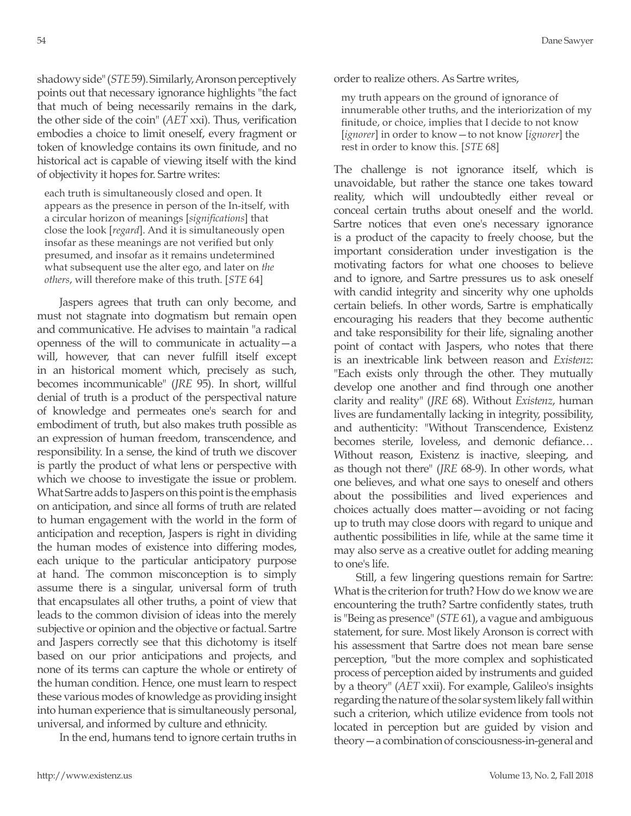shadowy side" (*STE* 59). Similarly, Aronson perceptively points out that necessary ignorance highlights "the fact that much of being necessarily remains in the dark, the other side of the coin" (*AET* xxi). Thus, verification embodies a choice to limit oneself, every fragment or token of knowledge contains its own finitude, and no historical act is capable of viewing itself with the kind of objectivity it hopes for. Sartre writes:

each truth is simultaneously closed and open. It appears as the presence in person of the In-itself, with a circular horizon of meanings [*significations*] that close the look [*regard*]. And it is simultaneously open insofar as these meanings are not verified but only presumed, and insofar as it remains undetermined what subsequent use the alter ego, and later on *the others*, will therefore make of this truth. [*STE* 64]

Jaspers agrees that truth can only become, and must not stagnate into dogmatism but remain open and communicative. He advises to maintain "a radical openness of the will to communicate in actuality—a will, however, that can never fulfill itself except in an historical moment which, precisely as such, becomes incommunicable" (*JRE* 95). In short, willful denial of truth is a product of the perspectival nature of knowledge and permeates one's search for and embodiment of truth, but also makes truth possible as an expression of human freedom, transcendence, and responsibility. In a sense, the kind of truth we discover is partly the product of what lens or perspective with which we choose to investigate the issue or problem. What Sartre adds to Jaspers on this point is the emphasis on anticipation, and since all forms of truth are related to human engagement with the world in the form of anticipation and reception, Jaspers is right in dividing the human modes of existence into differing modes, each unique to the particular anticipatory purpose at hand. The common misconception is to simply assume there is a singular, universal form of truth that encapsulates all other truths, a point of view that leads to the common division of ideas into the merely subjective or opinion and the objective or factual. Sartre and Jaspers correctly see that this dichotomy is itself based on our prior anticipations and projects, and none of its terms can capture the whole or entirety of the human condition. Hence, one must learn to respect these various modes of knowledge as providing insight into human experience that is simultaneously personal, universal, and informed by culture and ethnicity.

In the end, humans tend to ignore certain truths in

order to realize others. As Sartre writes,

my truth appears on the ground of ignorance of innumerable other truths, and the interiorization of my finitude, or choice, implies that I decide to not know [*ignorer*] in order to know—to not know [*ignorer*] the rest in order to know this. [*STE* 68]

The challenge is not ignorance itself, which is unavoidable, but rather the stance one takes toward reality, which will undoubtedly either reveal or conceal certain truths about oneself and the world. Sartre notices that even one's necessary ignorance is a product of the capacity to freely choose, but the important consideration under investigation is the motivating factors for what one chooses to believe and to ignore, and Sartre pressures us to ask oneself with candid integrity and sincerity why one upholds certain beliefs. In other words, Sartre is emphatically encouraging his readers that they become authentic and take responsibility for their life, signaling another point of contact with Jaspers, who notes that there is an inextricable link between reason and *Existenz*: "Each exists only through the other. They mutually develop one another and find through one another clarity and reality" (*JRE* 68). Without *Existenz*, human lives are fundamentally lacking in integrity, possibility, and authenticity: "Without Transcendence, Existenz becomes sterile, loveless, and demonic defiance… Without reason, Existenz is inactive, sleeping, and as though not there" (*JRE* 68-9). In other words, what one believes, and what one says to oneself and others about the possibilities and lived experiences and choices actually does matter—avoiding or not facing up to truth may close doors with regard to unique and authentic possibilities in life, while at the same time it may also serve as a creative outlet for adding meaning to one's life.

Still, a few lingering questions remain for Sartre: What is the criterion for truth? How do we know we are encountering the truth? Sartre confidently states, truth is "Being as presence" (*STE* 61), a vague and ambiguous statement, for sure. Most likely Aronson is correct with his assessment that Sartre does not mean bare sense perception, "but the more complex and sophisticated process of perception aided by instruments and guided by a theory" (*AET* xxii). For example, Galileo's insights regarding the nature of the solar system likely fall within such a criterion, which utilize evidence from tools not located in perception but are guided by vision and theory—a combination of consciousness-in-general and